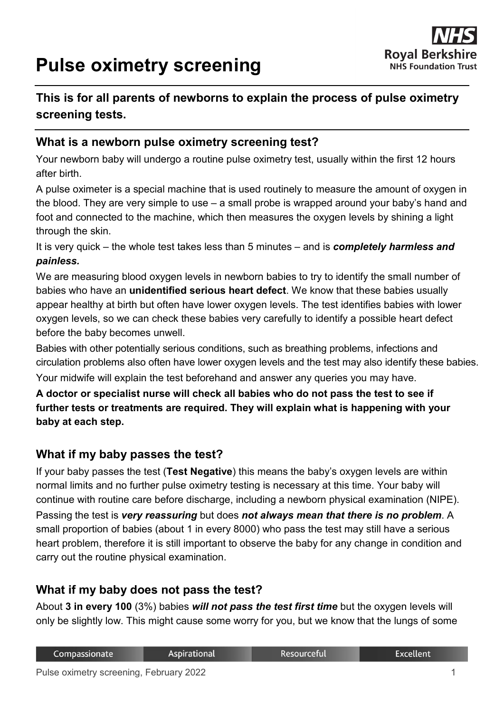# **Pulse oximetry screening**



## **This is for all parents of newborns to explain the process of pulse oximetry screening tests.**

### **What is a newborn pulse oximetry screening test?**

Your newborn baby will undergo a routine pulse oximetry test, usually within the first 12 hours after birth.

A pulse oximeter is a special machine that is used routinely to measure the amount of oxygen in the blood. They are very simple to use – a small probe is wrapped around your baby's hand and foot and connected to the machine, which then measures the oxygen levels by shining a light through the skin.

It is very quick – the whole test takes less than 5 minutes – and is *completely harmless and painless.*

We are measuring blood oxygen levels in newborn babies to try to identify the small number of babies who have an **unidentified serious heart defect**. We know that these babies usually appear healthy at birth but often have lower oxygen levels. The test identifies babies with lower oxygen levels, so we can check these babies very carefully to identify a possible heart defect before the baby becomes unwell.

Babies with other potentially serious conditions, such as breathing problems, infections and circulation problems also often have lower oxygen levels and the test may also identify these babies. Your midwife will explain the test beforehand and answer any queries you may have.

**A doctor or specialist nurse will check all babies who do not pass the test to see if further tests or treatments are required. They will explain what is happening with your baby at each step.**

## **What if my baby passes the test?**

If your baby passes the test (**Test Negative**) this means the baby's oxygen levels are within normal limits and no further pulse oximetry testing is necessary at this time. Your baby will continue with routine care before discharge, including a newborn physical examination (NIPE). Passing the test is *very reassuring* but does *not always mean that there is no problem*. A small proportion of babies (about 1 in every 8000) who pass the test may still have a serious heart problem, therefore it is still important to observe the baby for any change in condition and carry out the routine physical examination.

### **What if my baby does not pass the test?**

About **3 in every 100** (3%) babies *will not pass the test first time* but the oxygen levels will only be slightly low. This might cause some worry for you, but we know that the lungs of some

| Compassionate | <b>Aspirational</b> | Resourceful | <b>Excellent</b> |
|---------------|---------------------|-------------|------------------|
|               |                     |             |                  |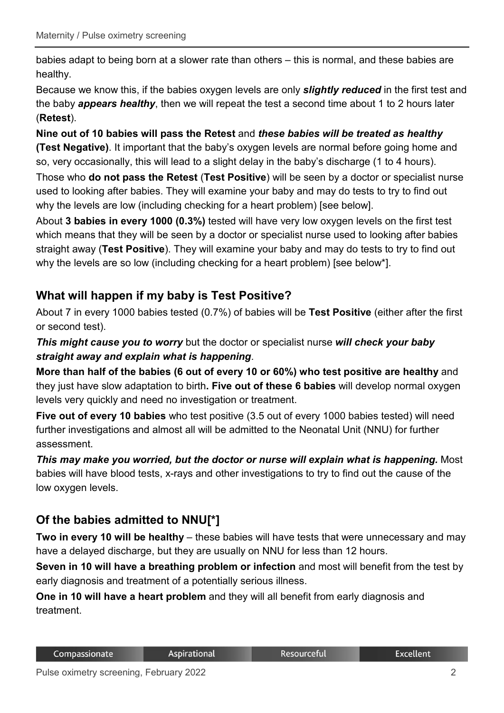babies adapt to being born at a slower rate than others – this is normal, and these babies are healthy.

Because we know this, if the babies oxygen levels are only *slightly reduced* in the first test and the baby *appears healthy*, then we will repeat the test a second time about 1 to 2 hours later (**Retest**).

**Nine out of 10 babies will pass the Retest** and *these babies will be treated as healthy*  **(Test Negative)**. It important that the baby's oxygen levels are normal before going home and so, very occasionally, this will lead to a slight delay in the baby's discharge (1 to 4 hours).

Those who **do not pass the Retest** (**Test Positive**) will be seen by a doctor or specialist nurse used to looking after babies. They will examine your baby and may do tests to try to find out why the levels are low (including checking for a heart problem) [see below].

About **3 babies in every 1000 (0.3%)** tested will have very low oxygen levels on the first test which means that they will be seen by a doctor or specialist nurse used to looking after babies straight away (**Test Positive**). They will examine your baby and may do tests to try to find out why the levels are so low (including checking for a heart problem) [see below\*].

## **What will happen if my baby is Test Positive?**

About 7 in every 1000 babies tested (0.7%) of babies will be **Test Positive** (either after the first or second test).

*This might cause you to worry* but the doctor or specialist nurse *will check your baby straight away and explain what is happening*.

**More than half of the babies (6 out of every 10 or 60%) who test positive are healthy** and they just have slow adaptation to birth**. Five out of these 6 babies** will develop normal oxygen levels very quickly and need no investigation or treatment.

**Five out of every 10 babies** who test positive (3.5 out of every 1000 babies tested) will need further investigations and almost all will be admitted to the Neonatal Unit (NNU) for further assessment.

*This may make you worried, but the doctor or nurse will explain what is happening. Most* babies will have blood tests, x-rays and other investigations to try to find out the cause of the low oxygen levels.

## **Of the babies admitted to NNU[\*]**

**Two in every 10 will be healthy** – these babies will have tests that were unnecessary and may have a delayed discharge, but they are usually on NNU for less than 12 hours.

**Seven in 10 will have a breathing problem or infection** and most will benefit from the test by early diagnosis and treatment of a potentially serious illness.

**One in 10 will have a heart problem** and they will all benefit from early diagnosis and treatment.